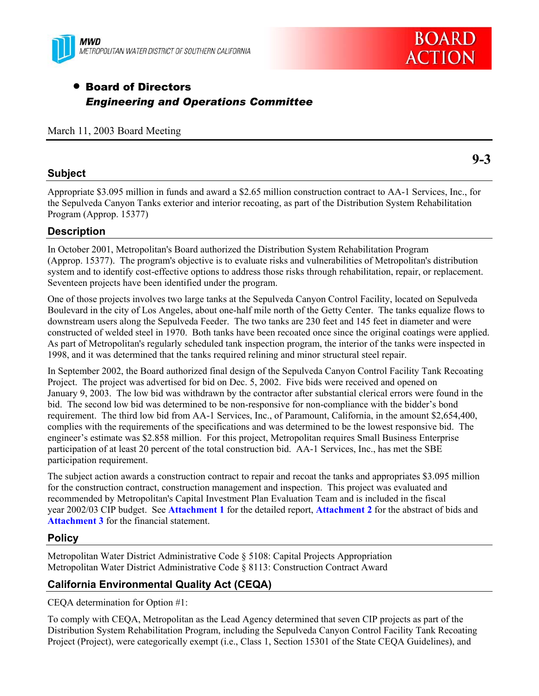



# **• Board of Directors** *Engineering and Operations Committee*

March 11, 2003 Board Meeting

### **Subject**

Appropriate \$3.095 million in funds and award a \$2.65 million construction contract to AA-1 Services, Inc., for the Sepulveda Canyon Tanks exterior and interior recoating, as part of the Distribution System Rehabilitation Program (Approp. 15377)

### **Description**

In October 2001, Metropolitan's Board authorized the Distribution System Rehabilitation Program (Approp. 15377). The program's objective is to evaluate risks and vulnerabilities of Metropolitan's distribution system and to identify cost-effective options to address those risks through rehabilitation, repair, or replacement. Seventeen projects have been identified under the program.

One of those projects involves two large tanks at the Sepulveda Canyon Control Facility, located on Sepulveda Boulevard in the city of Los Angeles, about one-half mile north of the Getty Center. The tanks equalize flows to downstream users along the Sepulveda Feeder. The two tanks are 230 feet and 145 feet in diameter and were constructed of welded steel in 1970. Both tanks have been recoated once since the original coatings were applied. As part of Metropolitan's regularly scheduled tank inspection program, the interior of the tanks were inspected in 1998, and it was determined that the tanks required relining and minor structural steel repair.

In September 2002, the Board authorized final design of the Sepulveda Canyon Control Facility Tank Recoating Project. The project was advertised for bid on Dec. 5, 2002. Five bids were received and opened on January 9, 2003. The low bid was withdrawn by the contractor after substantial clerical errors were found in the bid. The second low bid was determined to be non-responsive for non-compliance with the bidder's bond requirement. The third low bid from AA-1 Services, Inc., of Paramount, California, in the amount \$2,654,400, complies with the requirements of the specifications and was determined to be the lowest responsive bid. The engineer's estimate was \$2.858 million. For this project, Metropolitan requires Small Business Enterprise participation of at least 20 percent of the total construction bid. AA-1 Services, Inc., has met the SBE participation requirement.

The subject action awards a construction contract to repair and recoat the tanks and appropriates \$3.095 million for the construction contract, construction management and inspection. This project was evaluated and recommended by Metropolitan's Capital Investment Plan Evaluation Team and is included in the fiscal year 2002/03 CIP budget. See **Attachment 1** for the detailed report, **Attachment 2** for the abstract of bids and **Attachment 3** for the financial statement.

### **Policy**

Metropolitan Water District Administrative Code § 5108: Capital Projects Appropriation Metropolitan Water District Administrative Code § 8113: Construction Contract Award

## **California Environmental Quality Act (CEQA)**

CEQA determination for Option #1:

To comply with CEQA, Metropolitan as the Lead Agency determined that seven CIP projects as part of the Distribution System Rehabilitation Program, including the Sepulveda Canyon Control Facility Tank Recoating Project (Project), were categorically exempt (i.e., Class 1, Section 15301 of the State CEQA Guidelines), and

**9-3**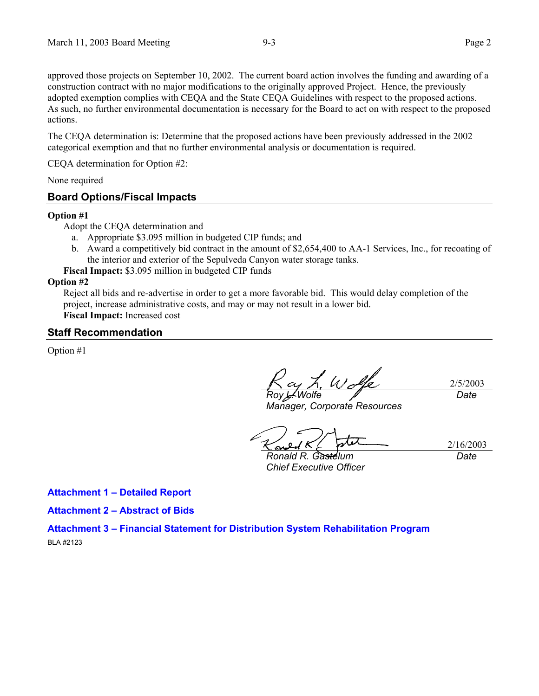approved those projects on September 10, 2002. The current board action involves the funding and awarding of a construction contract with no major modifications to the originally approved Project. Hence, the previously adopted exemption complies with CEQA and the State CEQA Guidelines with respect to the proposed actions. As such, no further environmental documentation is necessary for the Board to act on with respect to the proposed actions.

The CEQA determination is: Determine that the proposed actions have been previously addressed in the 2002 categorical exemption and that no further environmental analysis or documentation is required.

CEQA determination for Option #2:

None required

#### **Board Options/Fiscal Impacts**

#### **Option #1**

Adopt the CEQA determination and

- a. Appropriate \$3.095 million in budgeted CIP funds; and
- b. Award a competitively bid contract in the amount of \$2,654,400 to AA-1 Services, Inc., for recoating of the interior and exterior of the Sepulveda Canyon water storage tanks.

**Fiscal Impact:** \$3.095 million in budgeted CIP funds

#### **Option #2**

Reject all bids and re-advertise in order to get a more favorable bid. This would delay completion of the project, increase administrative costs, and may or may not result in a lower bid. **Fiscal Impact:** Increased cost

#### **Staff Recommendation**

Option #1

2/5/2003 *Roy L. Wolfe Date*

*Manager, Corporate Resources* 

2/16/2003

*Ronald R. Gastelum Chief Executive Officer* 

*Date*

**Attachment 1 – Detailed Report** 

**Attachment 2 – Abstract of Bids**

**Attachment 3 – Financial Statement for Distribution System Rehabilitation Program**  BLA #2123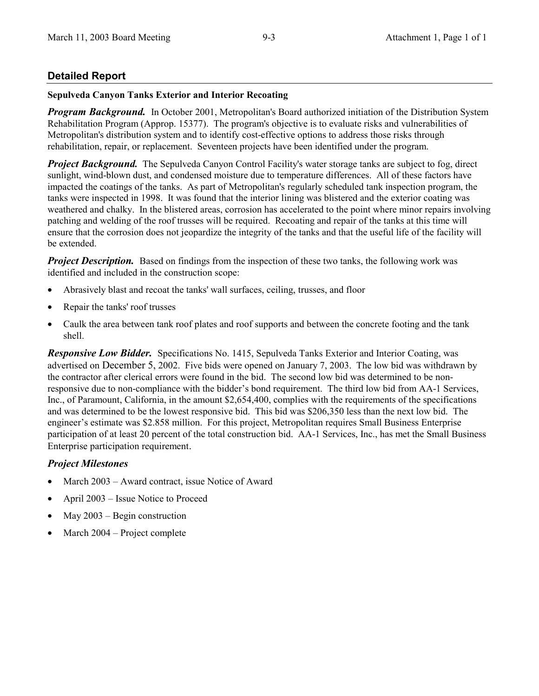## **Detailed Report**

#### **Sepulveda Canyon Tanks Exterior and Interior Recoating**

**Program Background.** In October 2001, Metropolitan's Board authorized initiation of the Distribution System Rehabilitation Program (Approp. 15377). The program's objective is to evaluate risks and vulnerabilities of Metropolitan's distribution system and to identify cost-effective options to address those risks through rehabilitation, repair, or replacement. Seventeen projects have been identified under the program.

**Project Background.** The Sepulveda Canyon Control Facility's water storage tanks are subject to fog, direct sunlight, wind-blown dust, and condensed moisture due to temperature differences. All of these factors have impacted the coatings of the tanks. As part of Metropolitan's regularly scheduled tank inspection program, the tanks were inspected in 1998. It was found that the interior lining was blistered and the exterior coating was weathered and chalky. In the blistered areas, corrosion has accelerated to the point where minor repairs involving patching and welding of the roof trusses will be required. Recoating and repair of the tanks at this time will ensure that the corrosion does not jeopardize the integrity of the tanks and that the useful life of the facility will be extended.

**Project Description.** Based on findings from the inspection of these two tanks, the following work was identified and included in the construction scope:

- Abrasively blast and recoat the tanks' wall surfaces, ceiling, trusses, and floor
- Repair the tanks' roof trusses
- Caulk the area between tank roof plates and roof supports and between the concrete footing and the tank shell.

**Responsive Low Bidder.** Specifications No. 1415, Sepulveda Tanks Exterior and Interior Coating, was advertised on December 5, 2002. Five bids were opened on January 7, 2003. The low bid was withdrawn by the contractor after clerical errors were found in the bid. The second low bid was determined to be nonresponsive due to non-compliance with the bidder's bond requirement. The third low bid from AA-1 Services, Inc., of Paramount, California, in the amount \$2,654,400, complies with the requirements of the specifications and was determined to be the lowest responsive bid. This bid was \$206,350 less than the next low bid. The engineer's estimate was \$2.858 million. For this project, Metropolitan requires Small Business Enterprise participation of at least 20 percent of the total construction bid. AA-1 Services, Inc., has met the Small Business Enterprise participation requirement.

### **Project Milestones**

- March 2003 Award contract, issue Notice of Award
- April 2003 Issue Notice to Proceed
- May  $2003$  Begin construction  $\bullet$
- March 2004 Project complete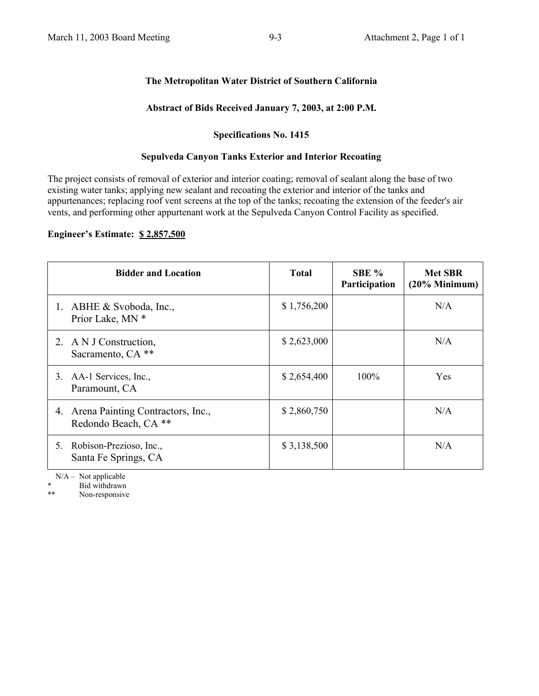## The Metropolitan Water District of Southern California

### Abstract of Bids Received January 7, 2003, at 2:00 P.M.

#### **Specifications No. 1415**

#### **Sepulveda Canyon Tanks Exterior and Interior Recoating**

The project consists of removal of exterior and interior coating; removal of sealant along the base of two existing water tanks; applying new sealant and recoating the exterior and interior of the tanks and appurtenances; replacing roof vent screens at the top of the tanks; recoating the extension of the feeder's air vents, and performing other appurtenant work at the Sepulveda Canyon Control Facility as specified.

### Engineer's Estimate: \$2,857,500

| <b>Bidder and Location</b>                                      | <b>Total</b> | SBE %<br>Participation | <b>Met SBR</b><br>$(20%$ Minimum) |
|-----------------------------------------------------------------|--------------|------------------------|-----------------------------------|
| ABHE & Svoboda, Inc.,<br>Prior Lake, MN *                       | \$1,756,200  |                        | N/A                               |
| A N J Construction,<br>2.<br>Sacramento, CA <sup>**</sup>       | \$2,623,000  |                        | N/A                               |
| AA-1 Services, Inc.,<br>3.<br>Paramount, CA                     | \$2,654,400  | 100%                   | Yes                               |
| Arena Painting Contractors, Inc.,<br>4.<br>Redondo Beach, CA ** | \$2,860,750  |                        | N/A                               |
| Robison-Prezioso, Inc.,<br>5.<br>Santa Fe Springs, CA           | \$3,138,500  |                        | N/A                               |

 $N/A - Not applicable$ 

Bid withdrawn

 $**$ Non-responsive